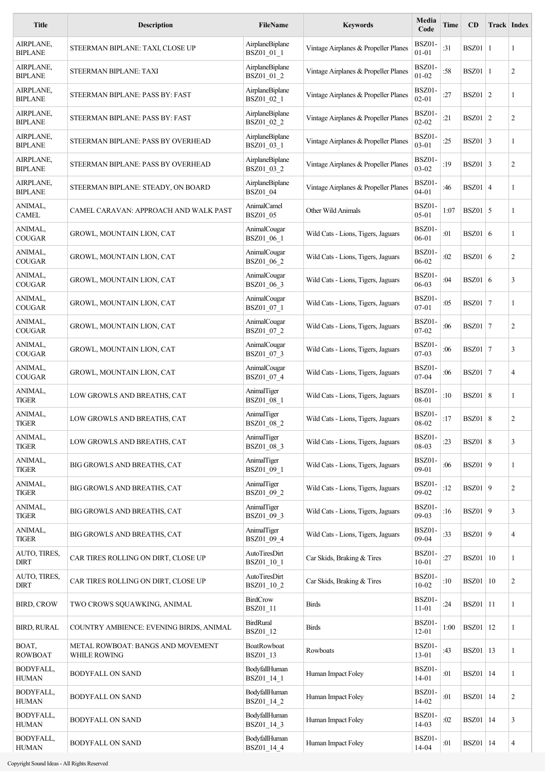| <b>Title</b>                | <b>Description</b>                                | <b>FileName</b>                       | <b>Keywords</b>                      | Media<br>Code              | Time | <b>CD</b>         | Track Index |                |
|-----------------------------|---------------------------------------------------|---------------------------------------|--------------------------------------|----------------------------|------|-------------------|-------------|----------------|
| AIRPLANE,<br><b>BIPLANE</b> | STEERMAN BIPLANE: TAXI, CLOSE UP                  | AirplaneBiplane<br>BSZ01_01_1         | Vintage Airplanes & Propeller Planes | BSZ01-<br>$01 - 01$        | :31  | $BSZ01$   1       |             | 1              |
| AIRPLANE,<br><b>BIPLANE</b> | STEERMAN BIPLANE: TAXI                            | AirplaneBiplane<br>BSZ01 01 2         | Vintage Airplanes & Propeller Planes | BSZ01-<br>$01 - 02$        | :58  | BSZ01 1           |             | 2              |
| AIRPLANE,<br><b>BIPLANE</b> | STEERMAN BIPLANE: PASS BY: FAST                   | AirplaneBiplane<br>BSZ01_02_1         | Vintage Airplanes & Propeller Planes | BSZ01-<br>$02 - 01$        | :27  | $BSZ01 \mid 2$    |             | 1              |
| AIRPLANE,<br><b>BIPLANE</b> | STEERMAN BIPLANE: PASS BY: FAST                   | AirplaneBiplane<br>BSZ01_02_2         | Vintage Airplanes & Propeller Planes | BSZ01-<br>$02 - 02$        | :21  | $BSZ01 \mid 2$    |             | 2              |
| AIRPLANE,<br><b>BIPLANE</b> | STEERMAN BIPLANE: PASS BY OVERHEAD                | AirplaneBiplane<br>BSZ01_03_1         | Vintage Airplanes & Propeller Planes | BSZ01-<br>$03 - 01$        | :25  | $BSZ01 \mid 3$    |             | 1              |
| AIRPLANE,<br><b>BIPLANE</b> | STEERMAN BIPLANE: PASS BY OVERHEAD                | AirplaneBiplane<br>BSZ01_03_2         | Vintage Airplanes & Propeller Planes | BSZ01-<br>$03 - 02$        | :19  | $BSZ01 \mid 3$    |             | 2              |
| AIRPLANE,<br><b>BIPLANE</b> | STEERMAN BIPLANE: STEADY, ON BOARD                | AirplaneBiplane<br><b>BSZ01 04</b>    | Vintage Airplanes & Propeller Planes | <b>BSZ01-</b><br>$04 - 01$ | :46  | $BSZ01 \mid 4$    |             | 1              |
| ANIMAL,<br><b>CAMEL</b>     | CAMEL CARAVAN: APPROACH AND WALK PAST             | <b>AnimalCamel</b><br><b>BSZ01 05</b> | Other Wild Animals                   | <b>BSZ01-</b><br>$05 - 01$ | 1:07 | $BSZ01$ 5         |             | 1              |
| ANIMAL,<br><b>COUGAR</b>    | GROWL, MOUNTAIN LION, CAT                         | AnimalCougar<br>BSZ01 06 1            | Wild Cats - Lions, Tigers, Jaguars   | BSZ01-<br>$06 - 01$        | :01  | BSZ01 6           |             | 1              |
| ANIMAL,<br><b>COUGAR</b>    | GROWL, MOUNTAIN LION, CAT                         | AnimalCougar<br>BSZ01_06_2            | Wild Cats - Lions, Tigers, Jaguars   | BSZ01-<br>06-02            | :02  | BSZ01 6           |             | 2              |
| ANIMAL,<br><b>COUGAR</b>    | GROWL, MOUNTAIN LION, CAT                         | AnimalCougar<br>BSZ01_06_3            | Wild Cats - Lions, Tigers, Jaguars   | BSZ01-<br>06-03            | :04  | BSZ01 6           |             | 3              |
| ANIMAL,<br><b>COUGAR</b>    | GROWL, MOUNTAIN LION, CAT                         | AnimalCougar<br>BSZ01_07_1            | Wild Cats - Lions, Tigers, Jaguars   | <b>BSZ01-</b><br>$07 - 01$ | :05  | $BSZ01$   7       |             | 1              |
| ANIMAL,<br><b>COUGAR</b>    | GROWL, MOUNTAIN LION, CAT                         | AnimalCougar<br>BSZ01_07_2            | Wild Cats - Lions, Tigers, Jaguars   | <b>BSZ01-</b><br>$07 - 02$ | :06  | $BSZ01$   7       |             | 2              |
| ANIMAL,<br><b>COUGAR</b>    | GROWL, MOUNTAIN LION, CAT                         | AnimalCougar<br>BSZ01_07_3            | Wild Cats - Lions, Tigers, Jaguars   | BSZ01-<br>$07-03$          | :06  | $BSZ01$   7       |             | 3              |
| ANIMAL,<br><b>COUGAR</b>    | GROWL, MOUNTAIN LION, CAT                         | AnimalCougar<br>BSZ01_07_4            | Wild Cats - Lions, Tigers, Jaguars   | BSZ01-<br>07-04            | :06  | $BSZ01$   7       |             | 4              |
| ANIMAL,<br><b>TIGER</b>     | LOW GROWLS AND BREATHS, CAT                       | AnimalTiger<br>BSZ01 08 1             | Wild Cats - Lions, Tigers, Jaguars   | <b>BSZ01-</b><br>08-01     | :10  | BSZ01 8           |             | 1              |
| ANIMAL,<br><b>TIGER</b>     | LOW GROWLS AND BREATHS, CAT                       | AnimalTiger<br>BSZ01_08_2             | Wild Cats - Lions, Tigers, Jaguars   | BSZ01-<br>08-02            | :17  | BSZ01 8           |             | 2              |
| ANIMAL,<br><b>TIGER</b>     | LOW GROWLS AND BREATHS, CAT                       | AnimalTiger<br>BSZ01_08_3             | Wild Cats - Lions, Tigers, Jaguars   | BSZ01-<br>08-03            | : 23 | <b>BSZ01</b> 8    |             | 3              |
| ANIMAL,<br><b>TIGER</b>     | BIG GROWLS AND BREATHS, CAT                       | AnimalTiger<br>BSZ01_09_1             | Wild Cats - Lions, Tigers, Jaguars   | BSZ01-<br>$09 - 01$        | :06  | $BSZ01$ 9         |             | 1              |
| ANIMAL,<br><b>TIGER</b>     | BIG GROWLS AND BREATHS, CAT                       | AnimalTiger<br>BSZ01_09_2             | Wild Cats - Lions, Tigers, Jaguars   | BSZ01-<br>$09 - 02$        | :12  | $BSZ01$ 9         |             | $\overline{c}$ |
| ANIMAL,<br><b>TIGER</b>     | BIG GROWLS AND BREATHS, CAT                       | AnimalTiger<br>BSZ01_09_3             | Wild Cats - Lions, Tigers, Jaguars   | BSZ01-<br>$09-03$          | :16  | <b>BSZ01</b> 9    |             | 3              |
| ANIMAL,<br><b>TIGER</b>     | BIG GROWLS AND BREATHS, CAT                       | AnimalTiger<br>BSZ01_09_4             | Wild Cats - Lions, Tigers, Jaguars   | BSZ01-<br>09-04            | :33  | <b>BSZ01</b> 9    |             | 4              |
| AUTO, TIRES,<br><b>DIRT</b> | CAR TIRES ROLLING ON DIRT, CLOSE UP               | AutoTiresDirt<br>BSZ01_10_1           | Car Skids, Braking & Tires           | BSZ01-<br>$10 - 01$        | :27  | <b>BSZ01</b>   10 |             | 1              |
| AUTO, TIRES,<br><b>DIRT</b> | CAR TIRES ROLLING ON DIRT, CLOSE UP               | AutoTiresDirt<br>BSZ01_10_2           | Car Skids, Braking & Tires           | BSZ01-<br>$10 - 02$        | :10  | <b>BSZ01</b>   10 |             | 2              |
| <b>BIRD, CROW</b>           | TWO CROWS SQUAWKING, ANIMAL                       | <b>BirdCrow</b><br>BSZ01_11           | <b>Birds</b>                         | BSZ01-<br>$11 - 01$        | :24  | <b>BSZ01</b>   11 |             | 1              |
| <b>BIRD, RURAL</b>          | COUNTRY AMBIENCE: EVENING BIRDS, ANIMAL           | <b>BirdRural</b><br>BSZ01_12          | <b>Birds</b>                         | BSZ01-<br>$12 - 01$        | 1:00 | <b>BSZ01</b>   12 |             | 1              |
| BOAT,<br><b>ROWBOAT</b>     | METAL ROWBOAT: BANGS AND MOVEMENT<br>WHILE ROWING | BoatRowboat<br>BSZ01_13               | Rowboats                             | BSZ01-<br>$13 - 01$        | :43  | <b>BSZ01</b>   13 |             | 1              |
| BODYFALL,<br><b>HUMAN</b>   | <b>BODYFALL ON SAND</b>                           | BodyfallHuman<br>BSZ01_14_1           | Human Impact Foley                   | BSZ01-<br>$14 - 01$        | :01  | <b>BSZ01</b>   14 |             | 1              |
| BODYFALL,<br><b>HUMAN</b>   | <b>BODYFALL ON SAND</b>                           | BodyfallHuman<br>BSZ01_14_2           | Human Impact Foley                   | BSZ01-<br>$14 - 02$        | :01  | <b>BSZ01</b>   14 |             | $\overline{c}$ |
| BODYFALL,<br><b>HUMAN</b>   | <b>BODYFALL ON SAND</b>                           | BodyfallHuman<br>BSZ01_14_3           | Human Impact Foley                   | BSZ01-<br>14-03            | :02  | <b>BSZ01</b>   14 |             | 3              |
| BODYFALL,<br><b>HUMAN</b>   | <b>BODYFALL ON SAND</b>                           | BodyfallHuman<br>BSZ01_14_4           | Human Impact Foley                   | <b>BSZ01-</b><br>$14 - 04$ | :01  | <b>BSZ01</b>   14 |             | 4              |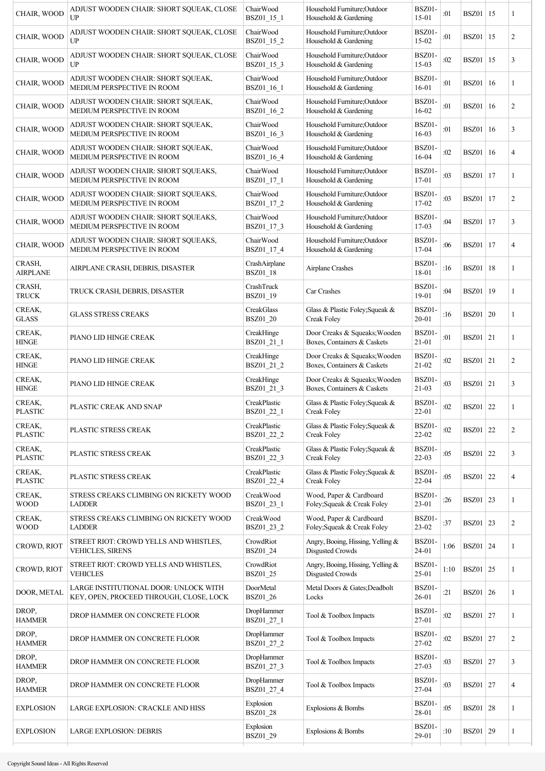| CHAIR, WOOD               | ADJUST WOODEN CHAIR: SHORT SQUEAK, CLOSE<br>UP                                   | ChairWood<br>BSZ01_15_1    | Household Furniture; Outdoor<br>Household & Gardening        | BSZ01-<br>$15 - 01$        | :01  | <b>BSZ01</b>   15 |    | 1              |
|---------------------------|----------------------------------------------------------------------------------|----------------------------|--------------------------------------------------------------|----------------------------|------|-------------------|----|----------------|
| CHAIR, WOOD               | ADJUST WOODEN CHAIR: SHORT SQUEAK, CLOSE<br>UP                                   | ChairWood<br>BSZ01_15_2    | Household Furniture;Outdoor<br>Household & Gardening         | <b>BSZ01-</b><br>15-02     | :01  | <b>BSZ01</b>      | 15 | 2              |
| CHAIR, WOOD               | ADJUST WOODEN CHAIR: SHORT SQUEAK, CLOSE<br>UP                                   | ChairWood<br>BSZ01_15_3    | Household Furniture; Outdoor<br>Household & Gardening        | <b>BSZ01-</b><br>15-03     | :02  | <b>BSZ01</b>      | 15 | 3              |
| CHAIR, WOOD               | ADJUST WOODEN CHAIR: SHORT SQUEAK,<br>MEDIUM PERSPECTIVE IN ROOM                 | ChairWood<br>BSZ01_16_1    | Household Furniture; Outdoor<br>Household & Gardening        | BSZ01-<br>$16 - 01$        | :01  | <b>BSZ01</b>   16 |    | 1              |
| CHAIR, WOOD               | ADJUST WOODEN CHAIR: SHORT SQUEAK,<br>MEDIUM PERSPECTIVE IN ROOM                 | ChairWood<br>BSZ01_16_2    | Household Furniture; Outdoor<br>Household & Gardening        | BSZ01-<br>16-02            | :01  | BSZ01             | 16 | 2              |
| CHAIR, WOOD               | ADJUST WOODEN CHAIR: SHORT SQUEAK,<br>MEDIUM PERSPECTIVE IN ROOM                 | ChairWood<br>BSZ01 16 3    | Household Furniture; Outdoor<br>Household & Gardening        | BSZ01-<br>16-03            | :01  | BSZ01             | 16 | 3              |
| CHAIR, WOOD               | ADJUST WOODEN CHAIR: SHORT SQUEAK,<br>MEDIUM PERSPECTIVE IN ROOM                 | ChairWood<br>BSZ01_16_4    | Household Furniture; Outdoor<br>Household & Gardening        | BSZ01-<br>16-04            | :02  | <b>BSZ01</b>      | 16 | $\overline{4}$ |
| CHAIR, WOOD               | ADJUST WOODEN CHAIR: SHORT SQUEAKS,<br>MEDIUM PERSPECTIVE IN ROOM                | ChairWood<br>BSZ01_17_1    | Household Furniture; Outdoor<br>Household & Gardening        | BSZ01-<br>$17 - 01$        | :03  | BSZ01             | 17 | 1              |
| CHAIR, WOOD               | ADJUST WOODEN CHAIR: SHORT SQUEAKS,<br>MEDIUM PERSPECTIVE IN ROOM                | ChairWood<br>BSZ01_17_2    | Household Furniture; Outdoor<br>Household & Gardening        | BSZ01-<br>17-02            | :03  | <b>BSZ01</b>      | 17 | $\overline{2}$ |
| CHAIR, WOOD               | ADJUST WOODEN CHAIR: SHORT SQUEAKS,<br>MEDIUM PERSPECTIVE IN ROOM                | ChairWood<br>BSZ01_17_3    | Household Furniture;Outdoor<br>Household & Gardening         | <b>BSZ01-</b><br>17-03     | :04  | BSZ01             | 17 | 3              |
| CHAIR, WOOD               | ADJUST WOODEN CHAIR: SHORT SQUEAKS,<br>MEDIUM PERSPECTIVE IN ROOM                | ChairWood<br>BSZ01_17_4    | Household Furniture; Outdoor<br>Household & Gardening        | BSZ01-<br>17-04            | :06  | BSZ01             | 17 | 4              |
| CRASH,<br><b>AIRPLANE</b> | AIRPLANE CRASH, DEBRIS, DISASTER                                                 | CrashAirplane<br>BSZ01_18  | Airplane Crashes                                             | BSZ01-<br>18-01            | :16  | <b>BSZ01</b>      | 18 | 1              |
| CRASH,<br><b>TRUCK</b>    | TRUCK CRASH, DEBRIS, DISASTER                                                    | CrashTruck<br>BSZ01_19     | Car Crashes                                                  | BSZ01-<br>19-01            | :04  | <b>BSZ01</b>   19 |    | 1              |
| CREAK,<br><b>GLASS</b>    | <b>GLASS STRESS CREAKS</b>                                                       | CreakGlass<br>BSZ01_20     | Glass & Plastic Foley; Squeak &<br>Creak Foley               | BSZ01-<br>$20 - 01$        | :16  | $BSZ01$ 20        |    | 1              |
| CREAK,<br><b>HINGE</b>    | PIANO LID HINGE CREAK                                                            | CreakHinge<br>BSZ01_21_1   | Door Creaks & Squeaks; Wooden<br>Boxes, Containers & Caskets | BSZ01-<br>$21 - 01$        | :01  | <b>BSZ01</b> 21   |    | 1              |
| CREAK,<br><b>HINGE</b>    | PIANO LID HINGE CREAK                                                            | CreakHinge<br>BSZ01_21_2   | Door Creaks & Squeaks; Wooden<br>Boxes, Containers & Caskets | <b>BSZ01-</b><br>$21 - 02$ | :02  | $BSZ01$ 21        |    | 2              |
| CREAK,<br><b>HINGE</b>    | PIANO LID HINGE CREAK                                                            | CreakHinge<br>BSZ01_21_3   | Door Creaks & Squeaks; Wooden<br>Boxes, Containers & Caskets | BSZ01-<br>$21-03$          | :03  | $BSZ01$ 21        |    | 3              |
| CREAK,<br><b>PLASTIC</b>  | PLASTIC CREAK AND SNAP                                                           | CreakPlastic<br>BSZ01_22_1 | Glass & Plastic Foley; Squeak &<br>Creak Foley               | BSZ01-<br>$22 - 01$        | :02  | <b>BSZ01</b> 22   |    | 1              |
| CREAK,<br><b>PLASTIC</b>  | PLASTIC STRESS CREAK                                                             | CreakPlastic<br>BSZ01_22_2 | Glass & Plastic Foley; Squeak &<br>Creak Foley               | <b>BSZ01-</b><br>$22 - 02$ | :02  | <b>BSZ01</b> 22   |    | 2              |
| CREAK,<br><b>PLASTIC</b>  | PLASTIC STRESS CREAK                                                             | CreakPlastic<br>BSZ01_22_3 | Glass & Plastic Foley; Squeak &<br>Creak Folev               | BSZ01-<br>$22-03$          | :05  | <b>BSZ01</b> 22   |    | 3              |
| CREAK,<br><b>PLASTIC</b>  | PLASTIC STRESS CREAK                                                             | CreakPlastic<br>BSZ01_22_4 | Glass & Plastic Foley; Squeak &<br>Creak Foley               | BSZ01-<br>$22 - 04$        | :05  | BSZ01             | 22 | $\overline{4}$ |
| CREAK,<br><b>WOOD</b>     | STRESS CREAKS CLIMBING ON RICKETY WOOD<br><b>LADDER</b>                          | CreakWood<br>BSZ01_23_1    | Wood, Paper & Cardboard<br>Foley; Squeak & Creak Foley       | BSZ01<br>$23 - 01$         | :26  | <b>BSZ01</b> 23   |    | 1              |
| CREAK,<br><b>WOOD</b>     | STRESS CREAKS CLIMBING ON RICKETY WOOD<br><b>LADDER</b>                          | CreakWood<br>BSZ01_23_2    | Wood, Paper & Cardboard<br>Foley; Squeak & Creak Foley       | BSZ01-<br>23-02            | :37  | <b>BSZ01</b> 23   |    | $\overline{c}$ |
| CROWD, RIOT               | STREET RIOT: CROWD YELLS AND WHISTLES,<br><b>VEHICLES, SIRENS</b>                | CrowdRiot<br>BSZ01_24      | Angry, Booing, Hissing, Yelling &<br>Disgusted Crowds        | BSZ01-<br>$24 - 01$        | 1:06 | <b>BSZ01</b> 24   |    | 1              |
| CROWD, RIOT               | STREET RIOT: CROWD YELLS AND WHISTLES,<br><b>VEHICLES</b>                        | CrowdRiot<br>BSZ01_25      | Angry, Booing, Hissing, Yelling &<br>Disgusted Crowds        | BSZ01-<br>25-01            | 1:10 | <b>BSZ01</b> 25   |    | 1              |
| DOOR, METAL               | LARGE INSTITUTIONAL DOOR: UNLOCK WITH<br>KEY, OPEN, PROCEED THROUGH, CLOSE, LOCK | DoorMetal<br>BSZ01_26      | Metal Doors & Gates; Deadbolt<br>Locks                       | BSZ01-<br>$26 - 01$        | :21  | $BSZ01$ 26        |    | 1              |
| DROP,<br><b>HAMMER</b>    | DROP HAMMER ON CONCRETE FLOOR                                                    | DropHammer<br>BSZ01_27_1   | Tool & Toolbox Impacts                                       | BSZ01-<br>27-01            | :02  | <b>BSZ01</b>   27 |    | 1              |
| DROP,<br><b>HAMMER</b>    | DROP HAMMER ON CONCRETE FLOOR                                                    | DropHammer<br>BSZ01_27_2   | Tool & Toolbox Impacts                                       | BSZ01-<br>$27 - 02$        | :02  | <b>BSZ01</b> 27   |    | $\overline{2}$ |
| DROP,<br><b>HAMMER</b>    | DROP HAMMER ON CONCRETE FLOOR                                                    | DropHammer<br>BSZ01_27_3   | Tool & Toolbox Impacts                                       | BSZ01-<br>$27-03$          | :03  | <b>BSZ01</b> 27   |    | 3              |
| DROP,<br><b>HAMMER</b>    | DROP HAMMER ON CONCRETE FLOOR                                                    | DropHammer<br>BSZ01_27_4   | Tool & Toolbox Impacts                                       | <b>BSZ01-</b><br>27-04     | :03  | <b>BSZ01</b> 27   |    | $\overline{4}$ |
| EXPLOSION                 | LARGE EXPLOSION: CRACKLE AND HISS                                                | Explosion<br>BSZ01_28      | Explosions & Bombs                                           | <b>BSZ01-</b><br>28-01     | :05  | <b>BSZ01</b> 28   |    | 1              |
| <b>EXPLOSION</b>          | <b>LARGE EXPLOSION: DEBRIS</b>                                                   | Explosion<br>BSZ01_29      | Explosions & Bombs                                           | BSZ01-<br>29-01            | :10  | <b>BSZ01</b> 29   |    | $\mathbf{1}$   |
|                           |                                                                                  |                            |                                                              |                            |      |                   |    |                |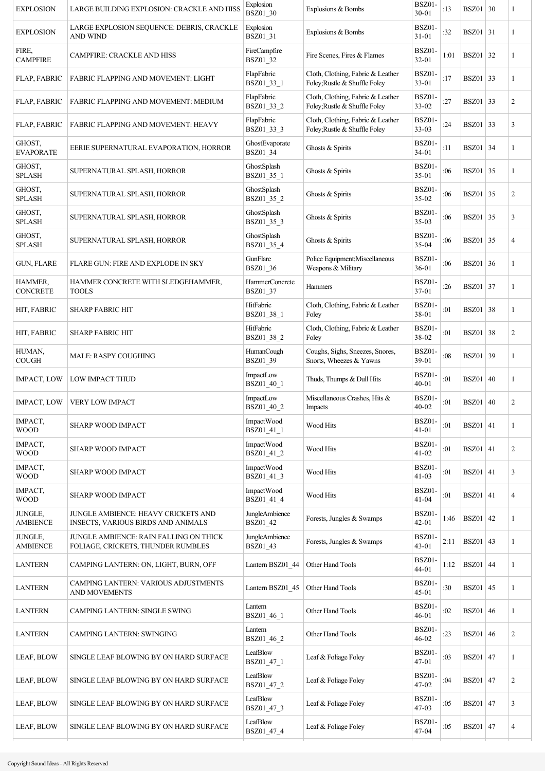| <b>EXPLOSION</b>           | LARGE BUILDING EXPLOSION: CRACKLE AND HISS                                   | Explosion<br>BSZ01_30         | Explosions & Bombs                                                 | <b>BSZ01-</b><br>$30 - 01$ | :13  | $BSZ01$ 30      |    | 1              |
|----------------------------|------------------------------------------------------------------------------|-------------------------------|--------------------------------------------------------------------|----------------------------|------|-----------------|----|----------------|
| <b>EXPLOSION</b>           | LARGE EXPLOSION SEQUENCE: DEBRIS, CRACKLE<br><b>AND WIND</b>                 | Explosion<br>BSZ01_31         | Explosions & Bombs                                                 | <b>BSZ01-</b><br>$31 - 01$ | :32  | <b>BSZ01</b> 31 |    | 1              |
| FIRE,<br><b>CAMPFIRE</b>   | <b>CAMPFIRE: CRACKLE AND HISS</b>                                            | FireCampfire<br>BSZ01_32      | Fire Scenes, Fires & Flames                                        | BSZ01-<br>$32 - 01$        | 1:01 | <b>BSZ01</b> 32 |    | 1              |
| FLAP, FABRIC               | <b>FABRIC FLAPPING AND MOVEMENT: LIGHT</b>                                   | FlapFabric<br>BSZ01_33_1      | Cloth, Clothing, Fabric & Leather<br>Foley; Rustle & Shuffle Foley | BSZ01-<br>$33 - 01$        | :17  | <b>BSZ01</b> 33 |    | 1              |
| <b>FLAP, FABRIC</b>        | FABRIC FLAPPING AND MOVEMENT: MEDIUM                                         | FlapFabric<br>BSZ01_33_2      | Cloth, Clothing, Fabric & Leather<br>Foley; Rustle & Shuffle Foley | BSZ01-<br>$33-02$          | :27  | <b>BSZ01</b> 33 |    | $\overline{c}$ |
| <b>FLAP, FABRIC</b>        | <b>FABRIC FLAPPING AND MOVEMENT: HEAVY</b>                                   | FlapFabric<br>BSZ01_33_3      | Cloth, Clothing, Fabric & Leather<br>Foley; Rustle & Shuffle Foley | BSZ01-<br>$33-03$          | :24  | <b>BSZ01</b> 33 |    | 3              |
| GHOST,<br><b>EVAPORATE</b> | EERIE SUPERNATURAL EVAPORATION, HORROR                                       | GhostEvaporate<br>BSZ01_34    | Ghosts & Spirits                                                   | BSZ01-<br>$34 - 01$        | :11  | $BSZ01$ 34      |    | 1              |
| GHOST,<br><b>SPLASH</b>    | SUPERNATURAL SPLASH, HORROR                                                  | GhostSplash<br>BSZ01_35_1     | Ghosts & Spirits                                                   | BSZ01-<br>$35-01$          | :06  | <b>BSZ01</b> 35 |    | 1              |
| GHOST,<br><b>SPLASH</b>    | SUPERNATURAL SPLASH, HORROR                                                  | GhostSplash<br>BSZ01_35_2     | Ghosts & Spirits                                                   | BSZ01-<br>35-02            | :06  | <b>BSZ01</b> 35 |    | $\overline{2}$ |
| GHOST,<br><b>SPLASH</b>    | SUPERNATURAL SPLASH, HORROR                                                  | GhostSplash<br>BSZ01 35 3     | Ghosts & Spirits                                                   | BSZ01-<br>$35-03$          | :06  | <b>BSZ01</b> 35 |    | 3              |
| GHOST,<br><b>SPLASH</b>    | SUPERNATURAL SPLASH, HORROR                                                  | GhostSplash<br>BSZ01_35_4     | Ghosts & Spirits                                                   | BSZ01-<br>35-04            | :06  | <b>BSZ01</b> 35 |    | $\overline{4}$ |
| <b>GUN, FLARE</b>          | FLARE GUN: FIRE AND EXPLODE IN SKY                                           | GunFlare<br>BSZ01_36          | Police Equipment; Miscellaneous<br>Weapons & Military              | BSZ01-<br>$36 - 01$        | :06  | <b>BSZ01</b> 36 |    | 1              |
| HAMMER,<br><b>CONCRETE</b> | HAMMER CONCRETE WITH SLEDGEHAMMER,<br><b>TOOLS</b>                           | HammerConcrete<br>BSZ01_37    | Hammers                                                            | BSZ01-<br>37-01            | :26  | <b>BSZ01</b> 37 |    | 1              |
| HIT, FABRIC                | <b>SHARP FABRIC HIT</b>                                                      | HitFabric<br>BSZ01_38_1       | Cloth, Clothing, Fabric & Leather<br>Foley                         | BSZ01-<br>38-01            | :01  | <b>BSZ01</b> 38 |    | 1              |
| HIT, FABRIC                | <b>SHARP FABRIC HIT</b>                                                      | HitFabric<br>BSZ01_38_2       | Cloth, Clothing, Fabric & Leather<br>Foley                         | BSZ01-<br>38-02            | :01  | <b>BSZ01</b> 38 |    | $\overline{c}$ |
| HUMAN,<br><b>COUGH</b>     | <b>MALE: RASPY COUGHING</b>                                                  | <b>HumanCough</b><br>BSZ01_39 | Coughs, Sighs, Sneezes, Snores,<br>Snorts, Wheezes & Yawns         | BSZ01-<br>39-01            | :08  | BSZ01           | 39 | 1              |
| <b>IMPACT, LOW</b>         | LOW IMPACT THUD                                                              | ImpactLow<br>BSZ01_40_1       | Thuds, Thumps & Dull Hits                                          | BSZ01-<br>$40 - 01$        | :01  | BSZ01   40      |    | 1              |
| <b>IMPACT, LOW</b>         | VERY LOW IMPACT                                                              | ImpactLow<br>BSZ01 40 2       | Miscellaneous Crashes, Hits &<br>Impacts                           | <b>BSZ01-</b><br>$40 - 02$ | :01  | BSZ01   40      |    | $\overline{c}$ |
| IMPACT,<br><b>WOOD</b>     | SHARP WOOD IMPACT                                                            | ImpactWood<br>BSZ01_41_1      | Wood Hits                                                          | <b>BSZ01-</b><br>$41 - 01$ | :01  | <b>BSZ01</b> 41 |    | 1              |
| IMPACT,<br><b>WOOD</b>     | <b>SHARP WOOD IMPACT</b>                                                     | ImpactWood<br>BSZ01_41_2      | Wood Hits                                                          | BSZ01-<br>$41 - 02$        | :01  | $BSZ01$ 41      |    | $\overline{c}$ |
| IMPACT,<br><b>WOOD</b>     | <b>SHARP WOOD IMPACT</b>                                                     | ImpactWood<br>BSZ01_41_3      | Wood Hits                                                          | BSZ01-<br>$41-03$          | :01  | $BSZ01$ 41      |    | 3              |
| IMPACT,<br><b>WOOD</b>     | <b>SHARP WOOD IMPACT</b>                                                     | ImpactWood<br>BSZ01_41_4      | <b>Wood Hits</b>                                                   | BSZ01-<br>$41 - 04$        | :01  | $BSZ01$ 41      |    | $\overline{4}$ |
| JUNGLE,<br><b>AMBIENCE</b> | JUNGLE AMBIENCE: HEAVY CRICKETS AND<br>INSECTS, VARIOUS BIRDS AND ANIMALS    | JungleAmbience<br>BSZ01_42    | Forests, Jungles & Swamps                                          | BSZ01-<br>$42 - 01$        | 1:46 | $BSZ01$ 42      |    | 1              |
| JUNGLE,<br><b>AMBIENCE</b> | JUNGLE AMBIENCE: RAIN FALLING ON THICK<br>FOLIAGE, CRICKETS, THUNDER RUMBLES | JungleAmbience<br>BSZ01_43    | Forests, Jungles & Swamps                                          | BSZ01-<br>$43 - 01$        | 2:11 | BSZ01 $ 43$     |    | 1              |
| <b>LANTERN</b>             | CAMPING LANTERN: ON, LIGHT, BURN, OFF                                        | Lantern BSZ01_44              | Other Hand Tools                                                   | BSZ01-<br>$44 - 01$        | 1:12 | <b>BSZ01</b> 44 |    | 1              |
| <b>LANTERN</b>             | CAMPING LANTERN: VARIOUS ADJUSTMENTS<br>AND MOVEMENTS                        | Lantern BSZ01_45              | Other Hand Tools                                                   | BSZ01-<br>$45 - 01$        | :30  | <b>BSZ01</b> 45 |    | 1              |
| <b>LANTERN</b>             | CAMPING LANTERN: SINGLE SWING                                                | Lantern<br>BSZ01_46_1         | Other Hand Tools                                                   | BSZ01-<br>$46 - 01$        | :02  | <b>BSZ01</b> 46 |    | 1              |
| <b>LANTERN</b>             | <b>CAMPING LANTERN: SWINGING</b>                                             | Lantern<br>BSZ01_46_2         | Other Hand Tools                                                   | BSZ01-<br>46-02            | :23  | <b>BSZ01</b> 46 |    | $\overline{c}$ |
| LEAF, BLOW                 | SINGLE LEAF BLOWING BY ON HARD SURFACE                                       | LeafBlow<br>BSZ01_47_1        | Leaf & Foliage Foley                                               | BSZ01-<br>47-01            | :03  | <b>BSZ01</b> 47 |    | 1              |
| LEAF, BLOW                 | SINGLE LEAF BLOWING BY ON HARD SURFACE                                       | LeafBlow<br>BSZ01_47_2        | Leaf & Foliage Foley                                               | BSZ01-<br>47-02            | :04  | BSZ01           | 47 | 2              |
| LEAF, BLOW                 | SINGLE LEAF BLOWING BY ON HARD SURFACE                                       | LeafBlow<br>BSZ01_47_3        | Leaf & Foliage Foley                                               | BSZ01-<br>47-03            | :05  | <b>BSZ01</b> 47 |    | 3              |
| LEAF, BLOW                 | SINGLE LEAF BLOWING BY ON HARD SURFACE                                       | LeafBlow<br>BSZ01_47_4        | Leaf & Foliage Foley                                               | BSZ01-<br>47-04            | :05  | <b>BSZ01</b> 47 |    | $\overline{4}$ |
|                            |                                                                              |                               |                                                                    |                            |      |                 |    |                |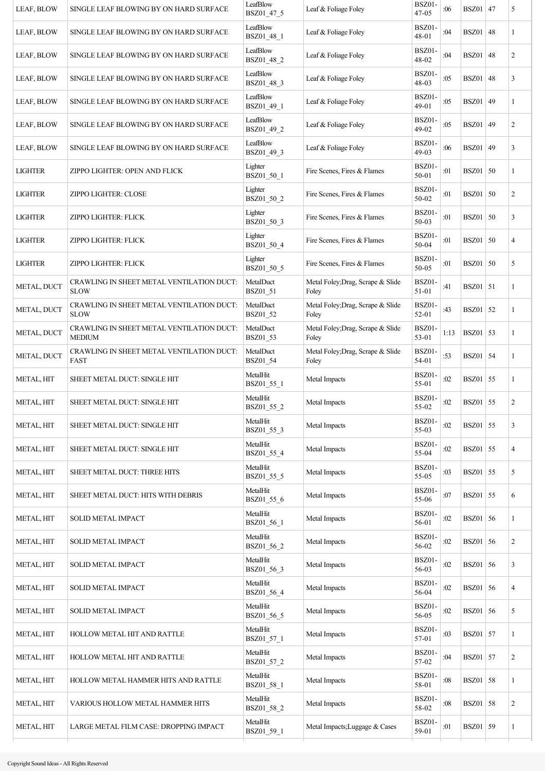| LEAF, BLOW         | SINGLE LEAF BLOWING BY ON HARD SURFACE                     | LeafBlow<br>BSZ01_47_5 | Leaf & Foliage Foley                       | BSZ01-<br>$47 - 05$    | :06  | BSZ01           | 47 | 5              |
|--------------------|------------------------------------------------------------|------------------------|--------------------------------------------|------------------------|------|-----------------|----|----------------|
| LEAF, BLOW         | SINGLE LEAF BLOWING BY ON HARD SURFACE                     | LeafBlow<br>BSZ01_48_1 | Leaf & Foliage Foley                       | <b>BSZ01-</b><br>48-01 | :04  | <b>BSZ01</b>    | 48 | 1              |
| LEAF, BLOW         | SINGLE LEAF BLOWING BY ON HARD SURFACE                     | LeafBlow<br>BSZ01_48_2 | Leaf & Foliage Foley                       | BSZ01-<br>48-02        | :04  | <b>BSZ01</b>    | 48 | 2              |
| LEAF, BLOW         | SINGLE LEAF BLOWING BY ON HARD SURFACE                     | LeafBlow<br>BSZ01_48_3 | Leaf & Foliage Foley                       | <b>BSZ01-</b><br>48-03 | :05  | <b>BSZ01</b>    | 48 | 3              |
| LEAF, BLOW         | SINGLE LEAF BLOWING BY ON HARD SURFACE                     | LeafBlow<br>BSZ01_49_1 | Leaf & Foliage Foley                       | BSZ01-<br>49-01        | :05  | BSZ01           | 49 | 1              |
| LEAF, BLOW         | SINGLE LEAF BLOWING BY ON HARD SURFACE                     | LeafBlow<br>BSZ01_49_2 | Leaf & Foliage Foley                       | BSZ01-<br>49-02        | :05  | BSZ01           | 49 | 2              |
| LEAF, BLOW         | SINGLE LEAF BLOWING BY ON HARD SURFACE                     | LeafBlow<br>BSZ01_49_3 | Leaf & Foliage Foley                       | BSZ01-<br>$49-03$      | :06  | BSZ01           | 49 | 3              |
| <b>LIGHTER</b>     | ZIPPO LIGHTER: OPEN AND FLICK                              | Lighter<br>BSZ01_50_1  | Fire Scenes, Fires & Flames                | BSZ01-<br>50-01        | :01  | <b>BSZ01</b> 50 |    | 1              |
| <b>LIGHTER</b>     | ZIPPO LIGHTER: CLOSE                                       | Lighter<br>BSZ01_50_2  | Fire Scenes, Fires & Flames                | BSZ01-<br>$50 - 02$    | :01  | <b>BSZ01</b>    | 50 | $\overline{c}$ |
| <b>LIGHTER</b>     | ZIPPO LIGHTER: FLICK                                       | Lighter<br>BSZ01 50 3  | Fire Scenes, Fires & Flames                | BSZ01-<br>$50 - 03$    | :01  | <b>BSZ01</b> 50 |    | 3              |
| <b>LIGHTER</b>     | ZIPPO LIGHTER: FLICK                                       | Lighter<br>BSZ01_50_4  | Fire Scenes, Fires & Flames                | BSZ01-<br>50-04        | :01  | <b>BSZ01</b>    | 50 | 4              |
| <b>LIGHTER</b>     | ZIPPO LIGHTER: FLICK                                       | Lighter<br>BSZ01_50_5  | Fire Scenes, Fires & Flames                | BSZ01-<br>50-05        | :01  | $BSZ01$ 50      |    | 5              |
| METAL, DUCT        | CRAWLING IN SHEET METAL VENTILATION DUCT:<br><b>SLOW</b>   | MetalDuct<br>BSZ01_51  | Metal Foley; Drag, Scrape & Slide<br>Foley | BSZ01-<br>51-01        | :41  | $BSZ01$ 51      |    | 1              |
| <b>METAL, DUCT</b> | CRAWLING IN SHEET METAL VENTILATION DUCT:<br><b>SLOW</b>   | MetalDuct<br>BSZ01_52  | Metal Foley; Drag, Scrape & Slide<br>Foley | BSZ01-<br>52-01        | :43  | <b>BSZ01</b> 52 |    | 1              |
| METAL, DUCT        | CRAWLING IN SHEET METAL VENTILATION DUCT:<br><b>MEDIUM</b> | MetalDuct<br>BSZ01_53  | Metal Foley; Drag, Scrape & Slide<br>Foley | BSZ01-<br>53-01        | 1:13 | <b>BSZ01</b> 53 |    | 1              |
| METAL, DUCT        | CRAWLING IN SHEET METAL VENTILATION DUCT:<br>FAST          | MetalDuct<br>BSZ01_54  | Metal Foley; Drag, Scrape & Slide<br>Foley | BSZ01-<br>54-01        | :53  | <b>BSZ01</b> 54 |    | 1              |
| METAL, HIT         | SHEET METAL DUCT: SINGLE HIT                               | MetalHit<br>BSZ01_55_1 | Metal Impacts                              | BSZ01-<br>55-01        | :02  | <b>BSZ01</b> 55 |    | 1              |
| METAL, HIT         | SHEET METAL DUCT: SINGLE HIT                               | MetalHit<br>BSZ01_55_2 | Metal Impacts                              | <b>BSZ01-</b><br>55-02 | :02  | <b>BSZ01</b> 55 |    | 2              |
| <b>METAL, HIT</b>  | SHEET METAL DUCT: SINGLE HIT                               | MetalHit<br>BSZ01_55_3 | Metal Impacts                              | BSZ01-<br>55-03        | :02  | <b>BSZ01</b> 55 |    | 3              |
| METAL, HIT         | SHEET METAL DUCT: SINGLE HIT                               | MetalHit<br>BSZ01_55_4 | Metal Impacts                              | BSZ01-<br>55-04        | :02  | <b>BSZ01</b> 55 |    | 4              |
| <b>METAL, HIT</b>  | SHEET METAL DUCT: THREE HITS                               | MetalHit<br>BSZ01_55_5 | Metal Impacts                              | BSZ01-<br>55-05        | :03  | <b>BSZ01</b> 55 |    | 5              |
| METAL, HIT         | SHEET METAL DUCT: HITS WITH DEBRIS                         | MetalHit<br>BSZ01_55_6 | Metal Impacts                              | BSZ01-<br>55-06        | :07  | $BSZ01$ 55      |    | 6              |
| METAL, HIT         | SOLID METAL IMPACT                                         | MetalHit<br>BSZ01_56_1 | Metal Impacts                              | BSZ01-<br>56-01        | :02  | <b>BSZ01</b>    | 56 | 1              |
| METAL, HIT         | <b>SOLID METAL IMPACT</b>                                  | MetalHit<br>BSZ01_56_2 | Metal Impacts                              | BSZ01-<br>56-02        | :02  | <b>BSZ01</b> 56 |    | 2              |
| <b>METAL, HIT</b>  | <b>SOLID METAL IMPACT</b>                                  | MetalHit<br>BSZ01_56_3 | Metal Impacts                              | BSZ01-<br>56-03        | :02  | <b>BSZ01</b>    | 56 | 3              |
| METAL, HIT         | <b>SOLID METAL IMPACT</b>                                  | MetalHit<br>BSZ01_56_4 | Metal Impacts                              | BSZ01-<br>56-04        | :02  | $BSZ01$ 56      |    | 4              |
| METAL, HIT         | <b>SOLID METAL IMPACT</b>                                  | MetalHit<br>BSZ01_56_5 | Metal Impacts                              | <b>BSZ01-</b><br>56-05 | :02  | <b>BSZ01</b> 56 |    | 5              |
| METAL, HIT         | HOLLOW METAL HIT AND RATTLE                                | MetalHit<br>BSZ01_57_1 | Metal Impacts                              | BSZ01-<br>57-01        | :03  | <b>BSZ01</b> 57 |    | 1              |
| <b>METAL, HIT</b>  | HOLLOW METAL HIT AND RATTLE                                | MetalHit<br>BSZ01_57_2 | Metal Impacts                              | BSZ01-<br>57-02        | :04  | <b>BSZ01</b> 57 |    | $\overline{c}$ |
| <b>METAL, HIT</b>  | HOLLOW METAL HAMMER HITS AND RATTLE                        | MetalHit<br>BSZ01_58_1 | Metal Impacts                              | BSZ01-<br>58-01        | :08  | <b>BSZ01</b>    | 58 | 1              |
| METAL, HIT         | VARIOUS HOLLOW METAL HAMMER HITS                           | MetalHit<br>BSZ01_58_2 | Metal Impacts                              | BSZ01-<br>58-02        | :08  | <b>BSZ01</b> 58 |    | $\overline{c}$ |
| METAL, HIT         | LARGE METAL FILM CASE: DROPPING IMPACT                     | MetalHit<br>BSZ01_59_1 | Metal Impacts; Luggage & Cases             | BSZ01-<br>59-01        | :01  | <b>BSZ01</b> 59 |    | 1              |
|                    |                                                            |                        |                                            |                        |      |                 |    |                |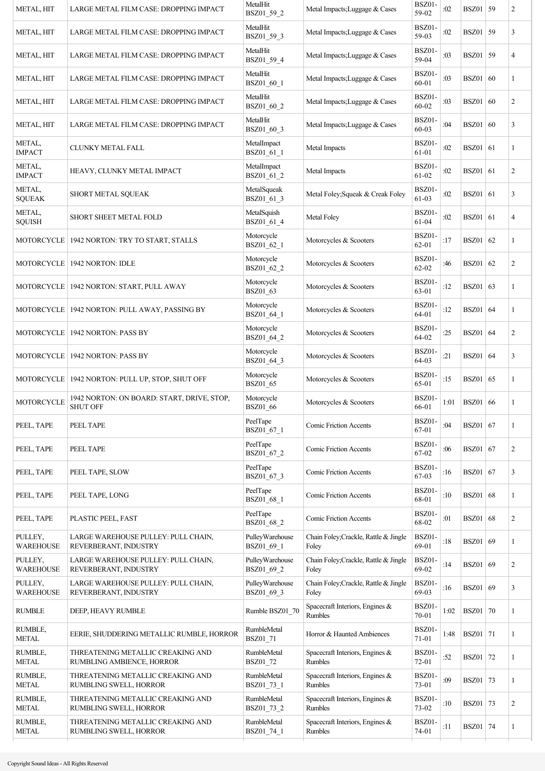| METAL, HIT                  | LARGE METAL FILM CASE: DROPPING IMPACT                         | MetalHit<br>BSZ01_59_2           | Metal Impacts; Luggage & Cases                 | <b>BSZ01-</b><br>59-02 | :02  | <b>BSZ01</b> 59 |    | $\overline{c}$ |
|-----------------------------|----------------------------------------------------------------|----------------------------------|------------------------------------------------|------------------------|------|-----------------|----|----------------|
| <b>METAL, HIT</b>           | LARGE METAL FILM CASE: DROPPING IMPACT                         | MetalHit<br>BSZ01_59_3           | Metal Impacts; Luggage & Cases                 | BSZ01-<br>59-03        | :02  | <b>BSZ01</b> 59 |    | 3              |
| <b>METAL, HIT</b>           | LARGE METAL FILM CASE: DROPPING IMPACT                         | MetalHit<br>BSZ01 59 4           | Metal Impacts; Luggage & Cases                 | BSZ01<br>59-04         | :03  | <b>BSZ01</b> 59 |    | 4              |
| <b>METAL, HIT</b>           | LARGE METAL FILM CASE: DROPPING IMPACT                         | MetalHit<br>BSZ01_60_1           | Metal Impacts; Luggage & Cases                 | BSZ01-<br>60-01        | :03  | <b>BSZ01</b> 60 |    | 1              |
| <b>METAL, HIT</b>           | LARGE METAL FILM CASE: DROPPING IMPACT                         | MetalHit<br>BSZ01_60_2           | Metal Impacts; Luggage & Cases                 | BSZ01-<br>60-02        | :03  | BSZ01   60      |    | $\overline{c}$ |
| <b>METAL, HIT</b>           | LARGE METAL FILM CASE: DROPPING IMPACT                         | MetalHit<br>BSZ01_60_3           | Metal Impacts; Luggage & Cases                 | BSZ01-<br>60-03        | :04  | <b>BSZ01</b> 60 |    | 3              |
| METAL,<br><b>IMPACT</b>     | CLUNKY METAL FALL                                              | MetalImpact<br>BSZ01_61_1        | Metal Impacts                                  | BSZ01-<br>61-01        | :02  | $BSZ01$ 61      |    | 1              |
| METAL,<br><b>IMPACT</b>     | HEAVY, CLUNKY METAL IMPACT                                     | MetalImpact<br>BSZ01_61_2        | Metal Impacts                                  | BSZ01-<br>$61 - 02$    | :02  | BSZ01 61        |    | $\overline{c}$ |
| METAL,<br><b>SQUEAK</b>     | SHORT METAL SQUEAK                                             | MetalSqueak<br>BSZ01 61 3        | Metal Foley; Squeak & Creak Foley              | BSZ01-<br>61-03        | :02  | BSZ01   61      |    | 3              |
| METAL,<br><b>SQUISH</b>     | SHORT SHEET METAL FOLD                                         | MetalSquish<br>BSZ01 61 4        | Metal Foley                                    | BSZ01-<br>$61 - 04$    | :02  | BSZ01 61        |    | $\overline{4}$ |
|                             | MOTORCYCLE   1942 NORTON: TRY TO START, STALLS                 | Motorcycle<br>BSZ01_62_1         | Motorcycles & Scooters                         | <b>BSZ01-</b><br>62-01 | :17  | <b>BSZ01</b> 62 |    | 1              |
|                             | MOTORCYCLE   1942 NORTON: IDLE                                 | Motorcycle<br>BSZ01_62_2         | Motorcycles & Scooters                         | BSZ01-<br>62-02        | :46  | <b>BSZ01</b> 62 |    | 2              |
|                             | MOTORCYCLE   1942 NORTON: START, PULL AWAY                     | Motorcycle<br>BSZ01_63           | Motorcycles & Scooters                         | BSZ01-<br>63-01        | :12  | <b>BSZ01</b> 63 |    | 1              |
|                             | MOTORCYCLE   1942 NORTON: PULL AWAY, PASSING BY                | Motorcycle<br>BSZ01_64_1         | Motorcycles & Scooters                         | BSZ01-<br>64-01        | :12  | <b>BSZ01</b> 64 |    | 1              |
|                             | MOTORCYCLE   1942 NORTON: PASS BY                              | Motorcycle<br>BSZ01_64_2         | Motorcycles & Scooters                         | <b>BSZ01-</b><br>64-02 | :25  | <b>BSZ01</b> 64 |    | $\overline{c}$ |
|                             | MOTORCYCLE   1942 NORTON: PASS BY                              | Motorcycle<br>BSZ01_64_3         | Motorcycles & Scooters                         | <b>BSZ01-</b><br>64-03 | :21  | <b>BSZ01</b> 64 |    | 3              |
|                             | MOTORCYCLE   1942 NORTON: PULL UP, STOP, SHUT OFF              | Motorcycle<br>BSZ01_65           | Motorcycles & Scooters                         | BSZ01-<br>65-01        | :15  | <b>BSZ01</b> 65 |    | 1              |
| MOTORCYCLE                  | 1942 NORTON: ON BOARD: START, DRIVE, STOP,<br><b>SHUT OFF</b>  | Motorcycle<br>BSZ01_66           | Motorcycles & Scooters                         | BSZ01-<br>66-01        | 1:01 | <b>BSZ01</b> 66 |    | 1              |
| PEEL, TAPE                  | PEEL TAPE                                                      | PeelTape<br>BSZ01_67_1           | <b>Comic Friction Accents</b>                  | BSZ01-<br>67-01        | :04  | <b>BSZ01</b> 67 |    | 1              |
| PEEL, TAPE                  | PEEL TAPE                                                      | PeelTape<br>BSZ01_67_2           | <b>Comic Friction Accents</b>                  | BSZ01-<br>67-02        | :06  | <b>BSZ01</b> 67 |    | $\overline{c}$ |
| PEEL, TAPE                  | PEEL TAPE, SLOW                                                | PeelTape<br>BSZ01_67_3           | <b>Comic Friction Accents</b>                  | BSZ01-<br>67-03        | :16  | $BSZ01$ 67      |    | 3              |
| PEEL, TAPE                  | PEEL TAPE, LONG                                                | PeelTape<br>BSZ01_68_1           | <b>Comic Friction Accents</b>                  | BSZ01-<br>68-01        | :10  | BSZ01 68        |    | 1              |
| PEEL, TAPE                  | PLASTIC PEEL, FAST                                             | PeelTape<br>BSZ01 68 2           | Comic Friction Accents                         | BSZ01-<br>68-02        | :01  | <b>BSZ01</b> 68 |    | $\overline{2}$ |
| PULLEY,<br><b>WAREHOUSE</b> | LARGE WAREHOUSE PULLEY: PULL CHAIN,<br>REVERBERANT, INDUSTRY   | PulleyWarehouse<br>BSZ01_69_1    | Chain Foley; Crackle, Rattle & Jingle<br>Foley | BSZ01-<br>69-01        | :18  | <b>BSZ01</b> 69 |    | 1              |
| PULLEY,<br><b>WAREHOUSE</b> | LARGE WAREHOUSE PULLEY: PULL CHAIN,<br>REVERBERANT, INDUSTRY   | PulleyWarehouse<br>BSZ01_69_2    | Chain Foley; Crackle, Rattle & Jingle<br>Foley | BSZ01-<br>69-02        | :14  | <b>BSZ01</b> 69 |    | $\overline{2}$ |
| PULLEY,<br><b>WAREHOUSE</b> | LARGE WAREHOUSE PULLEY: PULL CHAIN,<br>REVERBERANT, INDUSTRY   | PulleyWarehouse<br>BSZ01_69_3    | Chain Foley; Crackle, Rattle & Jingle<br>Foley | BSZ01-<br>69-03        | :16  | <b>BSZ01</b> 69 |    | 3              |
| <b>RUMBLE</b>               | DEEP, HEAVY RUMBLE                                             | Rumble BSZ01 70                  | Spacecraft Interiors, Engines &<br>Rumbles     | BSZ01-<br>70-01        | 1:02 | <b>BSZ01</b> 70 |    | 1              |
| RUMBLE,<br><b>METAL</b>     | EERIE, SHUDDERING METALLIC RUMBLE, HORROR                      | RumbleMetal<br>BSZ01_71          | Horror & Haunted Ambiences                     | BSZ01-<br>$71 - 01$    | 1:48 | <b>BSZ01</b> 71 |    | 1              |
| RUMBLE,<br><b>METAL</b>     | THREATENING METALLIC CREAKING AND<br>RUMBLING AMBIENCE, HORROR | RumbleMetal<br>BSZ01_72          | Spacecraft Interiors, Engines &<br>Rumbles     | BSZ01-<br>$72 - 01$    | :52  | <b>BSZ01</b> 72 |    | 1              |
| RUMBLE,<br><b>METAL</b>     | THREATENING METALLIC CREAKING AND<br>RUMBLING SWELL, HORROR    | <b>RumbleMetal</b><br>BSZ01_73_1 | Spacecraft Interiors, Engines &<br>Rumbles     | BSZ01-<br>73-01        | :09  | BSZ01           | 73 | 1              |
| RUMBLE,<br><b>METAL</b>     | THREATENING METALLIC CREAKING AND<br>RUMBLING SWELL, HORROR    | <b>RumbleMetal</b><br>BSZ01_73_2 | Spacecraft Interiors, Engines &<br>Rumbles     | BSZ01-<br>73-02        | :10  | <b>BSZ01</b> 73 |    | $\overline{c}$ |
| RUMBLE,<br><b>METAL</b>     | THREATENING METALLIC CREAKING AND<br>RUMBLING SWELL, HORROR    | <b>RumbleMetal</b><br>BSZ01_74_1 | Spacecraft Interiors, Engines &<br>Rumbles     | BSZ01-<br>74-01        | :11  | <b>BSZ01</b> 74 |    | 1              |
|                             |                                                                |                                  |                                                |                        |      |                 |    |                |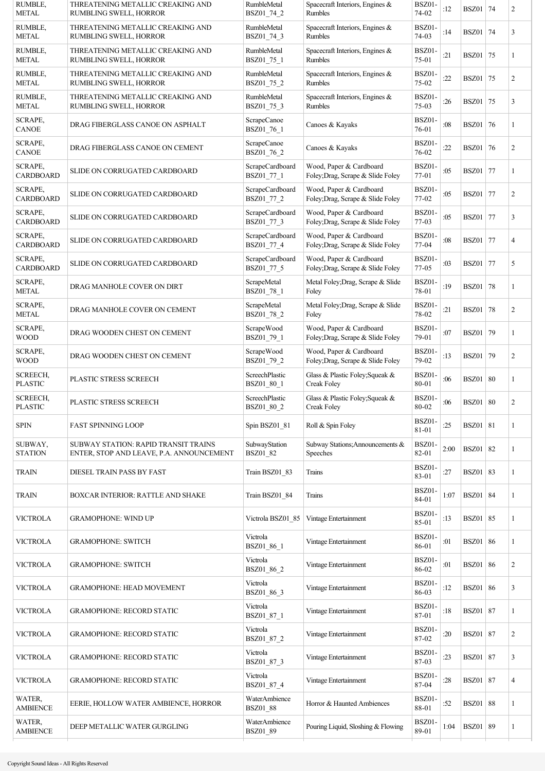| <b>RUMBLE,</b><br><b>METAL</b>    | THREATENING METALLIC CREAKING AND<br>RUMBLING SWELL, HORROR                      | <b>RumbleMetal</b><br>BSZ01_74_2 | Spacecraft Interiors, Engines &<br><b>Rumbles</b>            | BSZ01-<br>74-02   | :12  | <b>BSZ01</b> 74 |    | 2              |
|-----------------------------------|----------------------------------------------------------------------------------|----------------------------------|--------------------------------------------------------------|-------------------|------|-----------------|----|----------------|
| RUMBLE,<br><b>METAL</b>           | THREATENING METALLIC CREAKING AND<br>RUMBLING SWELL, HORROR                      | RumbleMetal<br>BSZ01_74_3        | Spacecraft Interiors, Engines &<br><b>Rumbles</b>            | BSZ01-<br>74-03   | :14  | <b>BSZ01 74</b> |    | 3              |
| <b>RUMBLE,</b><br><b>METAL</b>    | THREATENING METALLIC CREAKING AND<br>RUMBLING SWELL, HORROR                      | RumbleMetal<br>BSZ01_75_1        | Spacecraft Interiors, Engines &<br>Rumbles                   | BSZ01-<br>75-01   | :21  | <b>BSZ01</b> 75 |    | 1              |
| <b>RUMBLE,</b><br><b>METAL</b>    | THREATENING METALLIC CREAKING AND<br>RUMBLING SWELL, HORROR                      | RumbleMetal<br>BSZ01_75_2        | Spacecraft Interiors, Engines &<br>Rumbles                   | BSZ01-<br>75-02   | :22  | BSZ01           | 75 | 2              |
| <b>RUMBLE,</b><br>METAL           | THREATENING METALLIC CREAKING AND<br>RUMBLING SWELL, HORROR                      | <b>RumbleMetal</b><br>BSZ01_75_3 | Spacecraft Interiors, Engines &<br>Rumbles                   | BSZ01-<br>$75-03$ | :26  | BSZ01           | 75 | 3              |
| <b>SCRAPE,</b><br><b>CANOE</b>    | DRAG FIBERGLASS CANOE ON ASPHALT                                                 | ScrapeCanoe<br>BSZ01_76_1        | Canoes & Kayaks                                              | BSZ01-<br>76-01   | :08  | BSZ01           | 76 | 1              |
| <b>SCRAPE,</b><br><b>CANOE</b>    | DRAG FIBERGLASS CANOE ON CEMENT                                                  | ScrapeCanoe<br>BSZ01_76_2        | Canoes & Kayaks                                              | BSZ01-<br>76-02   | :22  | <b>BSZ01</b> 76 |    | $\overline{c}$ |
| SCRAPE,<br>CARDBOARD              | SLIDE ON CORRUGATED CARDBOARD                                                    | ScrapeCardboard<br>BSZ01_77_1    | Wood, Paper & Cardboard<br>Foley; Drag, Scrape & Slide Foley | BSZ01-<br>77-01   | :05  | <b>BSZ01</b> 77 |    | 1              |
| SCRAPE,<br>CARDBOARD              | SLIDE ON CORRUGATED CARDBOARD                                                    | ScrapeCardboard<br>BSZ01 77 2    | Wood, Paper & Cardboard<br>Foley; Drag, Scrape & Slide Foley | BSZ01-<br>77-02   | :05  | <b>BSZ01</b> 77 |    | $\overline{c}$ |
| SCRAPE,<br><b>CARDBOARD</b>       | SLIDE ON CORRUGATED CARDBOARD                                                    | ScrapeCardboard<br>BSZ01_77_3    | Wood, Paper & Cardboard<br>Foley; Drag, Scrape & Slide Foley | BSZ01-<br>77-03   | :05  | BSZ01           | 77 | 3              |
| SCRAPE,<br><b>CARDBOARD</b>       | SLIDE ON CORRUGATED CARDBOARD                                                    | ScrapeCardboard<br>BSZ01_77_4    | Wood, Paper & Cardboard<br>Foley; Drag, Scrape & Slide Foley | BSZ01-<br>77-04   | :08  | BSZ01           | 77 | 4              |
| SCRAPE,<br><b>CARDBOARD</b>       | SLIDE ON CORRUGATED CARDBOARD                                                    | ScrapeCardboard<br>BSZ01_77_5    | Wood, Paper & Cardboard<br>Foley; Drag, Scrape & Slide Foley | BSZ01-<br>77-05   | :03  | BSZ01           | 77 | 5              |
| <b>SCRAPE,</b><br><b>METAL</b>    | DRAG MANHOLE COVER ON DIRT                                                       | ScrapeMetal<br>BSZ01_78_1        | Metal Foley; Drag, Scrape & Slide<br>Foley                   | BSZ01-<br>78-01   | :19  | BSZ01           | 78 | 1              |
| <b>SCRAPE,</b><br>METAL           | DRAG MANHOLE COVER ON CEMENT                                                     | ScrapeMetal<br>BSZ01_78_2        | Metal Foley; Drag, Scrape & Slide<br>Foley                   | BSZ01-<br>78-02   | :21  | <b>BSZ01</b> 78 |    | $\overline{c}$ |
| <b>SCRAPE,</b><br><b>WOOD</b>     | DRAG WOODEN CHEST ON CEMENT                                                      | ScrapeWood<br>BSZ01_79_1         | Wood, Paper & Cardboard<br>Foley; Drag, Scrape & Slide Foley | BSZ01-<br>79-01   | :07  | BSZ01           | 79 | 1              |
| SCRAPE,<br><b>WOOD</b>            | DRAG WOODEN CHEST ON CEMENT                                                      | ScrapeWood<br>BSZ01_79_2         | Wood, Paper & Cardboard<br>Foley; Drag, Scrape & Slide Foley | BSZ01<br>79-02    | :13  | <b>BSZ01 79</b> |    | $\overline{c}$ |
| <b>SCREECH,</b><br><b>PLASTIC</b> | PLASTIC STRESS SCREECH                                                           | ScreechPlastic<br>BSZ01_80_1     | Glass & Plastic Foley; Squeak &<br>Creak Foley               | BSZ01-<br>80-01   | :06  | <b>BSZ01</b> 80 |    | 1              |
| <b>SCREECH,</b><br><b>PLASTIC</b> | PLASTIC STRESS SCREECH                                                           | ScreechPlastic<br>BSZ01 80 2     | Glass & Plastic Foley; Squeak &<br>Creak Foley               | BSZ01-<br>80-02   | :06  | <b>BSZ01</b> 80 |    | $\overline{c}$ |
| SPIN                              | <b>FAST SPINNING LOOP</b>                                                        | Spin BSZ01 81                    | Roll & Spin Foley                                            | BSZ01-<br>81-01   | :25  | <b>BSZ01</b> 81 |    | 1              |
| SUBWAY,<br><b>STATION</b>         | SUBWAY STATION: RAPID TRANSIT TRAINS<br>ENTER, STOP AND LEAVE, P.A. ANNOUNCEMENT | SubwayStation<br>BSZ01_82        | Subway Stations; Announcements &<br>Speeches                 | BSZ01-<br>82-01   | 2:00 | <b>BSZ01</b> 82 |    | 1              |
| <b>TRAIN</b>                      | DIESEL TRAIN PASS BY FAST                                                        | Train BSZ01 83                   | Trains                                                       | BSZ01-<br>83-01   | :27  | <b>BSZ01</b> 83 |    | 1              |
| <b>TRAIN</b>                      | <b>BOXCAR INTERIOR: RATTLE AND SHAKE</b>                                         | Train BSZ01_84                   | Trains                                                       | BSZ01-<br>84-01   | 1:07 | <b>BSZ01</b> 84 |    | 1              |
| <b>VICTROLA</b>                   | <b>GRAMOPHONE: WIND UP</b>                                                       | Victrola BSZ01 85                | Vintage Entertainment                                        | BSZ01-<br>85-01   | :13  | <b>BSZ01</b> 85 |    | 1              |
| <b>VICTROLA</b>                   | <b>GRAMOPHONE: SWITCH</b>                                                        | Victrola<br>BSZ01_86_1           | Vintage Entertainment                                        | BSZ01-<br>86-01   | :01  | <b>BSZ01</b> 86 |    | 1              |
| VICTROLA                          | <b>GRAMOPHONE: SWITCH</b>                                                        | Victrola<br>BSZ01_86_2           | Vintage Entertainment                                        | BSZ01-<br>86-02   | :01  | <b>BSZ01</b> 86 |    | 2              |
| <b>VICTROLA</b>                   | <b>GRAMOPHONE: HEAD MOVEMENT</b>                                                 | Victrola<br>BSZ01_86_3           | Vintage Entertainment                                        | BSZ01-<br>86-03   | :12  | <b>BSZ01</b> 86 |    | 3              |
| <b>VICTROLA</b>                   | <b>GRAMOPHONE: RECORD STATIC</b>                                                 | Victrola<br>BSZ01_87_1           | Vintage Entertainment                                        | BSZ01-<br>87-01   | :18  | <b>BSZ01</b> 87 |    | 1              |
| <b>VICTROLA</b>                   | <b>GRAMOPHONE: RECORD STATIC</b>                                                 | Victrola<br>BSZ01_87_2           | Vintage Entertainment                                        | BSZ01-<br>87-02   | :20  | <b>BSZ01</b> 87 |    | $\overline{c}$ |
| <b>VICTROLA</b>                   | <b>GRAMOPHONE: RECORD STATIC</b>                                                 | Victrola<br>BSZ01_87_3           | Vintage Entertainment                                        | BSZ01-<br>87-03   | :23  | BSZ01           | 87 | 3              |
| VICTROLA                          | <b>GRAMOPHONE: RECORD STATIC</b>                                                 | Victrola<br>BSZ01_87_4           | Vintage Entertainment                                        | BSZ01<br>87-04    | :28  | <b>BSZ01 87</b> |    | $\overline{4}$ |
| WATER,<br><b>AMBIENCE</b>         | EERIE, HOLLOW WATER AMBIENCE, HORROR                                             | WaterAmbience<br><b>BSZ01_88</b> | Horror & Haunted Ambiences                                   | BSZ01-<br>88-01   | :52  | <b>BSZ01</b> 88 |    | 1              |
| WATER,<br><b>AMBIENCE</b>         | DEEP METALLIC WATER GURGLING                                                     | WaterAmbience<br>BSZ01_89        | Pouring Liquid, Sloshing & Flowing                           | BSZ01-<br>89-01   | 1:04 | <b>BSZ01</b> 89 |    | 1              |
|                                   |                                                                                  |                                  |                                                              |                   |      |                 |    |                |